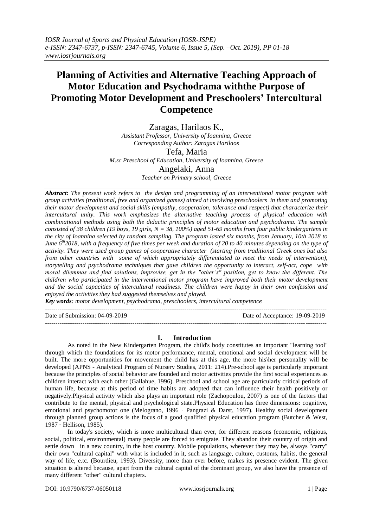# **Planning of Activities and Alternative Teaching Approach of Motor Education and Psychodrama withthe Purpose of Promoting Motor Development and Preschoolers' Intercultural Competence**

Zaragas, Harilaos K., *Assistant Professor, University of Ioannina, Greece Corresponding Author: Zaragas Harilaos*  Tefa, Maria

*M.sc Preschool of Education, University of Ioannina, Greece*

Angelaki, Anna *Teacher on Primary school, Greece*

*Abstract: The present work refers to the design and programming of an interventional motor program with group activities (traditional, free and organized games) aimed at involving preschoolers in them and promoting their motor development and social skills (empathy, cooperation, tolerance and respect) that characterize their intercultural unity. This work emphasizes the alternative teaching process of physical education with combinational methods using both the didactic principles of motor education and psychodrama. The sample consisted of 38 children (19 boys, 19 girls, N = 38, 100%) aged 51-69 months from four public kindergartens in the city of Ioannina selected by random sampling. The program lasted six months, from January, 10th 2018 to June 6th2018, with a frequency of five times per week and duration of 20 to 40 minutes depending on the type of activity. They were used group games of cooperative character (starting from traditional Greek ones but also from other countries with some of which appropriately differentiated to meet the needs of intervention), storytelling and psychodrama techniques that gave children the opportunity to interact, self-act, cope with moral dilemmas and find solutions, improvise, get in the "other's" position, get to know the different. The children who participated in the interventional motor program have improved both their motor development and the social capacities of intercultural readiness. The children were happy in their own confession and enjoyed the activities they had suggested themselves and played.*

*Key words: motor development, psychodrama, preschoolers, intercultural competence*

Date of Submission: 04-09-2019 Date of Acceptance: 19-09-2019

**I. Introduction**

---------------------------------------------------------------------------------------------------------------------------------------

---------------------------------------------------------------------------------------------------------------------------------------

As noted in the New Kindergarten Program, the child's body constitutes an important "learning tool" through which the foundations for its motor performance, mental, emotional and social development will be built. The more opportunities for movement the child has at this age, the more his\her personality will be developed (APNS - Analytical Program of Nursery Studies, 2011: 214).Pre-school age is particularly important because the principles of social behavior are founded and motor activities provide the first social experiences as children interact with each other (Gallahue, 1996). Preschool and school age are particularly critical periods of human life, because at this period of time habits are adopted that can influence their health positively or negatively.Physical activity which also plays an important role (Zachopoulou, 2007) is one of the factors that contribute to the mental, physical and psychological state.Physical Education has three dimensions: cognitive, emotional and psychomotor one (Melograno, 1996 · Pangrazi & Darst, 1997). Healthy social development through planned group actions is the focus of a good qualified physical education program (Butcher & West, 1987 · Hellison, 1985).

In today's society, which is more multicultural than ever, for different reasons (economic, religious, social, political, environmental) many people are forced to emigrate. They abandon their country of origin and settle down in a new country, in the host country. Mobile populations, wherever they may be, always "carry" their own "cultural capital" with what is included in it, such as language, culture, customs, habits, the general way of life, e.tc. (Bourdieu, 1993). Diversity, more than ever before, makes its presence evident. The given situation is altered because, apart from the cultural capital of the dominant group, we also have the presence of many different "other" cultural chapters.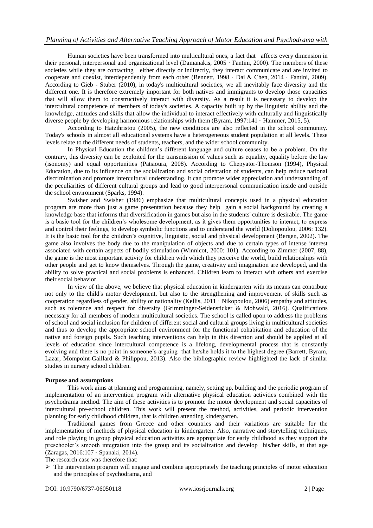# *Planning of Activities and Alternative Teaching Approach of Motor Education and Psychodrama with*

Human societies have been transformed into multicultural ones, a fact that affects every dimension in their personal, interpersonal and organizational level (Damanakis, 2005 · Fantini, 2000). The members of these societies while they are contacting either directly or indirectly, they interact communicate and are invited to cooperate and coexist, interdependently from each other (Bennett, 1998 · Dai & Chen, 2014 · Fantini, 2009). According to Gieb - Stuber (2010), in today's multicultural societies, we all inevitably face diversity and the different one. It is therefore extremely important for both natives and immigrants to develop those capacities that will allow them to constructively interact with diversity. As a result it is necessary to develop the intercultural competence of members of today's societies. A capacity built up by the linguistic ability and the knowledge, attitudes and skills that allow the individual to interact effectively with culturally and linguistically diverse people by developing harmonious relationships with them (Byram, 1997:141 · Hammer, 2015, 5).

According to Hatzihristou (2005), the new conditions are also reflected in the school community. Today's schools in almost all educational systems have a heterogeneous student population at all levels. These levels relate to the different needs of students, teachers, and the wider school community.

In Physical Education the children's different language and culture ceases to be a problem. On the contrary, this diversity can be exploited for the transmission of values such as equality, equality before the law (isonomy) and equal opportunities (Patsioura, 2008). According to Chepyator-Thomson (1994), Physical Education, due to its influence on the socialization and social orientation of students, can help reduce national discrimination and promote intercultural understanding. It can promote wider appreciation and understanding of the peculiarities of different cultural groups and lead to good interpersonal communication inside and outside the school environment (Sparks, 1994).

Swisher and Swisher (1986) emphasize that multicultural concepts used in a physical education program are more than just a game presentation because they help gain a social background by creating a knowledge base that informs that diversification in games but also in the students' culture is desirable. The game is a basic tool for the children's wholesome development, as it gives them opportunities to interact, to express and control their feelings, to develop symbolic functions and to understand the world (Doliopoulou, 2006: 132). It is the basic tool for the children's cognitive, linguistic, social and physical development (Bergen, 2002). The game also involves the body due to the manipulation of objects and due to certain types of intense interest associated with certain aspects of bodily stimulation (Winnicot, 2000: 101). According to Zimmer (2007, 88), the game is the most important activity for children with which they perceive the world, build relationships with other people and get to know themselves. Through the game, creativity and imagination are developed, and the ability to solve practical and social problems is enhanced. Children learn to interact with others and exercise their social behavior.

In view of the above, we believe that physical education in kindergarten with its means can contribute not only to the child's motor development, but also to the strengthening and improvement of skills such as cooperation regardless of gender, ability or nationality (Kellis, 2011 · Nikopoulou, 2006) empathy and attitudes, such as tolerance and respect for diversity (Grimminger-Seidensticker & Mohwald, 2016). Qualifications necessary for all members of modern multicultural societies. The school is called upon to address the problems of school and social inclusion for children of different social and cultural groups living in multicultural societies and thus to develop the appropriate school environment for the functional cohabitation and education of the native and foreign pupils. Such teaching interventions can help in this direction and should be applied at all levels of education since intercultural competence is a lifelong, developmental process that is constantly evolving and there is no point in someone's arguing that he/she holds it to the highest degree (Barrett, Byram, Lazar, Mompoint-Gaillard & Philippou, 2013). Also the bibliographic review highlighted the lack of similar studies in nursery school children.

#### **Purpose and assumptions**

This work aims at planning and programming, namely, setting up, building and the periodic program of implementation of an intervention program with alternative physical education activities combined with the psychodrama method. The aim of these activities is to promote the motor development and social capacities of intercultural pre-school children. This work will present the method, activities, and periodic intervention planning for early childhood children, that is children attending kindergarten.

Traditional games from Greece and other countries and their variations are suitable for the implementation of methods of physical education in kindergarten. Also, narrative and storytelling techniques, and role playing in group physical education activities are appropriate for early childhood as they support the preschooler's smooth integration into the group and its socialization and develop his/her skills, at that age (Zaragas, 2016:107 · Spanaki, 2014).

The research case was therefore that:

 $\triangleright$  The intervention program will engage and combine appropriately the teaching principles of motor education and the principles of psychodrama, and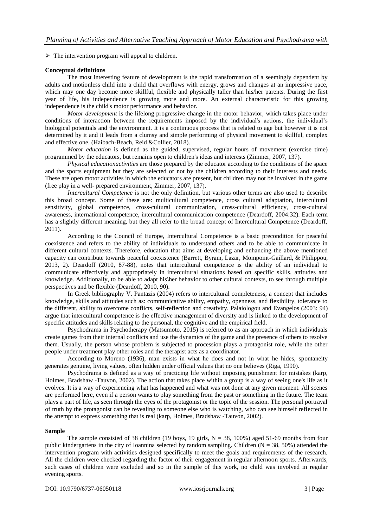$\triangleright$  The intervention program will appeal to children.

## **Conceptual definitions**

The most interesting feature of development is the rapid transformation of a seemingly dependent by adults and motionless child into a child that overflows with energy, grows and changes at an impressive pace, which may one day become more skillful, flexible and physically taller than his/her parents. During the first year of life, his independence is growing more and more. An external characteristic for this growing independence is the child's motor performance and behavior.

*Motor development* is the lifelong progressive change in the motor behavior, which takes place under conditions of interaction between the requirements imposed by the individual's actions, the individual's biological potentials and the environment. It is a continuous process that is related to age but however it is not determined by it and it leads from a clumsy and simple performing of physical movement to skillful, complex and effective one. (Haibach-Beach, Reid &Collier, 2018).

*Motor education* is defined as the guided, supervised, regular hours of movement (exercise time) programmed by the educators, but remains open to children's ideas and interests (Zimmer, 2007, 137).

*Physical educationactivities* are those prepared by the educator according to the conditions of the space and the sports equipment but they are selected or not by the children according to their interests and needs. These are open motor activities in which the educators are present, but children may not be involved in the game (free play in a well- prepared environment, Zimmer, 2007, 137).

*Intercultural Competence* is not the only definition, but various other terms are also used to describe this broad concept. Some of these are: multicultural competence, cross cultural adaptation, intercultural sensitivity, global competence, cross-cultural communication, cross-cultural efficiency, cross-cultural awareness, international competence, intercultural communication competence (Deardoff, 2004:32). Each term has a slightly different meaning, but they all refer to the broad concept of Intercultural Competence (Deardoff, 2011).

According to the Council of Europe, Intercultural Competence is a basic precondition for peaceful coexistence and refers to the ability of individuals to understand others and to be able to communicate in different cultural contexts. Therefore, education that aims at developing and enhancing the above mentioned capacity can contribute towards peaceful coexistence (Barrett, Byram, Lazar, Mompoint-Gaillard, & Philippou, 2013, 2). Deardoff (2010, 87-88), notes that intercultural competence is the ability of an individual to communicate effectively and appropriately in intercultural situations based on specific skills, attitudes and knowledge. Additionally, to be able to adapt his\her behavior to other cultural contexts, to see through multiple perspectives and be flexible (Deardoff, 2010, 90).

In Greek bibliography V. Pantazis (2004) refers to intercultural completeness, a concept that includes knowledge, skills and attitudes such as: communicative ability, empathy, openness, and flexibility, tolerance to the different, ability to overcome conflicts, self-reflection and creativity. Palaiologou and Evangelos (2003: 94) argue that intercultural competence is the effective management of diversity and is linked to the development of specific attitudes and skills relating to the personal, the cognitive and the empirical field.

Psychodrama in Psychotherapy (Matsumoto, 2015) is referred to as an approach in which individuals create games from their internal conflicts and use the dynamics of the game and the presence of others to resolve them. Usually, the person whose problem is subjected to procession plays a protagonist role, while the other people under treatment play other roles and the therapist acts as a coordinator.

According to Moreno (1936), man exists in what he does and not in what he hides, spontaneity generates genuine, living values, often hidden under official values that no one believes (Riga, 1990).

Psychodrama is defined as a way of practicing life without imposing punishment for mistakes (karp, Holmes, Bradshaw -Tauvon, 2002). The action that takes place within a group is a way of seeing one's life as it evolves. It is a way of experiencing what has happened and what was not done at any given moment. All scenes are performed here, even if a person wants to play something from the past or something in the future. The team plays a part of life, as seen through the eyes of the protagonist or the topic of the session. The personal portrayal of truth by the protagonist can be revealing to someone else who is watching, who can see himself reflected in the attempt to express something that is real (karp, Holmes, Bradshaw -Tauvon, 2002).

#### **Sample**

The sample consisted of 38 children (19 boys, 19 girls,  $N = 38$ , 100%) aged 51-69 months from four public kindergartens in the city of Ioannina selected by random sampling. Children ( $N = 38, 50\%$ ) attended the intervention program with activities designed specifically to meet the goals and requirements of the research. All the children were checked regarding the factor of their engagement in regular afternoon sports. Afterwards, such cases of children were excluded and so in the sample of this work, no child was involved in regular evening sports.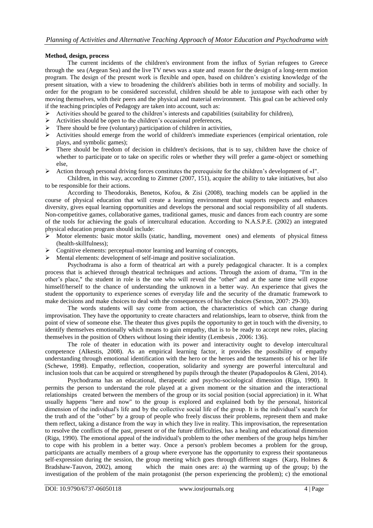# **Method, design, process**

The current incidents of the children's environment from the influx of Syrian refugees to Greece through the sea (Aegean Sea) and the live TV news was a state and reason for the design of a long-term motion program. The design of the present work is flexible and open, based on children's existing knowledge of the present situation, with a view to broadening the children's abilities both in terms of mobility and socially. In order for the program to be considered successful, children should be able to juxtapose with each other by moving themselves, with their peers and the physical and material environment. This goal can be achieved only if the teaching principles of Pedagogy are taken into account, such as:

- $\triangleright$  Activities should be geared to the children's interests and capabilities (suitability for children),
- $\triangleright$  Activities should be open to the children's occasional preferences,
- $\triangleright$  There should be free (voluntary) participation of children in activities,
- $\triangleright$  Activities should emerge from the world of children's immediate experiences (empirical orientation, role plays, and symbolic games);
- $\triangleright$  There should be freedom of decision in children's decisions, that is to say, children have the choice of whether to participate or to take on specific roles or whether they will prefer a game-object or something else,
- Action through personal driving forces constitutes the prerequisite for the children's development of «I".

Children, in this way, according to Zimmer (2007, 151), acquire the ability to take initiatives, but also to be responsible for their actions.

According to Theodorakis, Benetos, Kofou, & Zisi (2008), teaching models can be applied in the course of physical education that will create a learning environment that supports respects and enhances diversity, gives equal learning opportunities and develops the personal and social responsibility of all students. Non-competitive games, collaborative games, traditional games, music and dances from each country are some of the tools for achieving the goals of intercultural education. According to N.A.S.P.E. (2002) an integrated physical education program should include:

- $\triangleright$  Motor elements: basic motor skills (static, handling, movement ones) and elements of physical fitness (health-skillfulness);
- Cognitive elements: perceptual-motor learning and learning of concepts,
- $\triangleright$  Mental elements: development of self-image and positive socialization.

Psychodrama is also a form of theatrical art with a purely pedagogical character. It is a complex process that is achieved through theatrical techniques and actions. Through the axiom of drama, "I'm in the other's place," the student in role is the one who will reveal the "other" and at the same time will expose himself/herself to the chance of understanding the unknown in a better way. An experience that gives the student the opportunity to experience scenes of everyday life and the security of the dramatic framework to make decisions and make choices to deal with the consequences of his/her choices (Sexton, 2007: 29-30).

The words students will say come from action, the characteristics of which can change during improvisation. They have the opportunity to create characters and relationships, learn to observe, think from the point of view of someone else. The theater thus gives pupils the opportunity to get in touch with the diversity, to identify themselves emotionally which means to gain empathy, that is to be ready to accept new roles, placing themselves in the position of Others without losing their identity (Lembesis , 2006: 136).

The role of theater in education with its power and interactivity ought to develop intercultural competence (Alkestis, 2008). As an empirical learning factor, it provides the possibility of empathy understanding through emotional identification with the hero or the heroes and the testaments of his or her life (Schewe, 1998). Empathy, reflection, cooperation, solidarity and synergy are powerful intercultural and inclusion tools that can be acquired or strengthened by pupils through the theater (Papadopoulos & Gleni, 2014).

Psychodrama has an educational, therapeutic and psycho-sociological dimension (Riga, 1990). It permits the person to understand the role played at a given moment or the situation and the interactional relationships created between the members of the group or its social position (social appreciation) in it. What usually happens "here and now" to the group is explored and explained both by the personal, historical dimension of the individual's life and by the collective social life of the group. It is the individual's search for the truth and of the "other" by a group of people who freely discuss their problems, represent them and make them reflect, taking a distance from the way in which they live in reality. This improvisation, the representation to resolve the conflicts of the past, present or of the future difficulties, has a healing and educational dimension (Riga, 1990). The emotional appeal of the individual's problem to the other members of the group helps him/her to cope with his problem in a better way. Once a person's problem becomes a problem for the group, participants are actually members of a group where everyone has the opportunity to express their spontaneous self-expression during the session, the group meeting which goes through different stages (Karp, Holmes & Bradshaw-Tauvon, 2002), among which the main ones are: a) the warming up of the group; b) the investigation of the problem of the main protagonist (the person experiencing the problem); c) the emotional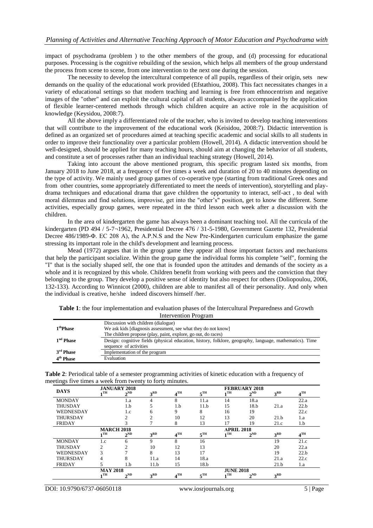impact of psychodrama (problem ) to the other members of the group, and (d) processing for educational purposes. Processing is the cognitive rebuilding of the session, which helps all members of the group understand the process from scene to scene, from one intervention to the next one during the session.

The necessity to develop the intercultural competence of all pupils, regardless of their origin, sets new demands on the quality of the educational work provided (Efstathiou, 2008). This fact necessitates changes in a variety of educational settings so that modern teaching and learning is free from ethnocentrism and negative images of the "other" and can exploit the cultural capital of all students, always accompanied by the application of flexible learner-centered methods through which children acquire an active role in the acquisition of knowledge (Keysidou, 2008:7).

All the above imply a differentiated role of the teacher, who is invited to develop teaching interventions that will contribute to the improvement of the educational work (Keisidou, 2008:7). Didactic intervention is defined as an organized set of procedures aimed at teaching specific academic and social skills to all students in order to improve their functionality over a particular problem (Howell, 2014). A didactic intervention should be well-designed, should be applied for many teaching hours, should aim at changing the behavior of all students, and constitute a set of processes rather than an individual teaching strategy (Howell, 2014).

Taking into account the above mentioned program, this specific program lasted six months, from January 2018 to June 2018, at a frequency of five times a week and duration of 20 to 40 minutes depending on the type of activity. We mainly used group games of co-operative type (starting from traditional Greek ones and from other countries, some appropriately differentiated to meet the needs of intervention), storytelling and playdrama techniques and educational drama that gave children the opportunity to interact, self-act , to deal with moral dilemmas and find solutions, improvise, get into the "other's" position, get to know the different. Some activities, especially group games, were repeated in the third lesson each week after a discussion with the children.

In the area of kindergarten the game has always been a dominant teaching tool. All the curricula of the kindergarten (PD 494 / 5-7¬1962, Presidential Decree 476 / 31-5-1980, Government Gazette 132, Presidential Decree 486/1989-Φ. EC 208 A), the A.P.N.S and the New Pre-Kindergarten curriculum emphasize the game stressing its important role in the child's development and learning process.

Mead (1972) argues that in the group game they appear all those important factors and mechanisms that help the participant socialize. Within the group game the individual forms his complete "self", forming the "I" that is the socially shaped self, the one that is founded upon the attitudes and demands of the society as a whole and it is recognized by this whole. Children benefit from working with peers and the conviction that they belonging to the group. They develop a positive sense of identity but also respect for others (Doliopoulou, 2006, 132-133). According to Winnicot (2000), children are able to manifest all of their personality. And only when the individual is creative, he/she indeed discovers himself /her.

| Table 1: the four implementation and evaluation phases of the Intercultural Preparedness and Growth |  |
|-----------------------------------------------------------------------------------------------------|--|
| Intervention Program                                                                                |  |

|                       | Discussion with children (dialogue)                                                                      |
|-----------------------|----------------------------------------------------------------------------------------------------------|
| 1 <sup>th</sup> Phase | We ask kids [diagnosis assessment, see what they do not know]                                            |
|                       | The children propose (play, paint, explore, go out, do races)                                            |
| 1 <sup>nd</sup> Phase | Design: cognitive fields (physical education, history, folklore, geography, language, mathematics). Time |
|                       | sequence of activities                                                                                   |
| 3 <sup>rd</sup> Phase | Implementation of the program                                                                            |
| 4 <sup>th</sup> Phase | Evaluation                                                                                               |

| Table 2: Periodical table of a semester programming activities of kinetic education with a frequency of |  |  |
|---------------------------------------------------------------------------------------------------------|--|--|
| meetings five times a week from twenty to forty minutes.                                                |  |  |

|                  |                   | <b>JANUARY 2018</b> |                 |                 |                 |                   | <b>FEBRUARY 2018</b> |                 |                 |
|------------------|-------------------|---------------------|-----------------|-----------------|-----------------|-------------------|----------------------|-----------------|-----------------|
| <b>DAYS</b>      | $\blacksquare$    | $2^{ND}$            | 3 <sup>RD</sup> | 4 <sup>TH</sup> | $5^{\text{TH}}$ | $\blacksquare$    | $2^{ND}$             | 3 <sup>RD</sup> | $4^{\text{TH}}$ |
| <b>MONDAY</b>    |                   | 1.a                 | 4               | 8               | 11.a            | 14                | 18.a                 |                 | 22.a            |
| <b>THUSDAY</b>   |                   | 1.b                 | 5               | 1.b             | 11.b            | 15                | 18.b                 | 21.a            | 22.b            |
| WEDNESDAY        |                   | 1.c                 | 6               | 9               | 8               | 16                | 19                   |                 | 22.c            |
| <b>THURSDAY</b>  |                   | $\overline{c}$      | $\overline{c}$  | 10              | 12              | 13                | 20                   | 21.h            | 1.a             |
| <b>FRIDAY</b>    |                   | $\mathcal{R}$       |                 | 8               | 13              | 17                | 19                   | 21.c            | 1.b             |
|                  | <b>MARCH 2018</b> |                     |                 |                 |                 | <b>APRIL 2018</b> |                      |                 |                 |
|                  | 1TH               | $2^{ND}$            | 3 <sup>RD</sup> | 4 <sup>TH</sup> | $5^{\text{TH}}$ | 1TH               | $2^{ND}$             | 3 <sup>RD</sup> | 4 <sup>TH</sup> |
| <b>MONDAY</b>    | 1.c               | 6                   | 9               | 8               | 16              |                   |                      | 19              | 21.c            |
| <b>THUSDAY</b>   | $\overline{c}$    | $\mathfrak{D}$      | 10              | 12              | 13              |                   |                      | 20              | 22.a            |
| <b>WEDNESDAY</b> | 3                 | $\mathcal{L}$       | 8               | 13              | 17              |                   |                      | 19              | 22.b            |
| <b>THURSDAY</b>  | 4                 | 8                   | 11.a            | 14              | 18.a            |                   |                      | 21.a            | 22.c            |
| <b>FRIDAY</b>    |                   | 1.b                 | 11.b            | 15              | 18.b            |                   |                      | 21.b            | 1.a             |
|                  | <b>MAY 2018</b>   |                     |                 |                 |                 | <b>JUNE 2018</b>  |                      |                 |                 |
|                  | 1TH               | $2^{ND}$            | 3 <sup>RD</sup> | 4 <sup>TH</sup> | $5^{\text{TH}}$ | 1TH               | $2^{ND}$             | 3 <sup>RD</sup> |                 |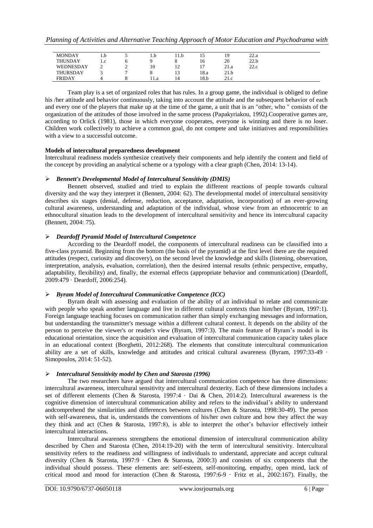| <b>MONDAY</b>   | 1.D | 1.D  | 11.b           | ⊥ J  | 19   | 22.a |  |
|-----------------|-----|------|----------------|------|------|------|--|
| <b>THUSDAY</b>  | 1.c |      |                | 16   | 20   | 22.b |  |
| WEDNESDAY       |     | 10   | $\overline{ }$ |      | 21.a | 22.c |  |
| <b>THURSDAY</b> |     |      |                | 18.a | 21.b |      |  |
| <b>FRIDAY</b>   |     | 11.a | 14             | 18.b | 21.c |      |  |

Team play is a set of organized roles that has rules. In a group game, the individual is obliged to define his /her attitude and behavior continuously, taking into account the attitude and the subsequent behavior of each and every one of the players that make up at the time of the game, a unit that is an "other, who " consists of the organization of the attitudes of those involved in the same process (Papakyriakou, 1992).Cooperative games are, according to Orlick (1981), those in which everyone cooperates, everyone is winning and there is no loser. Children work collectively to achieve a common goal, do not compete and take initiatives and responsibilities with a view to a successful outcome.

# **Models of intercultural preparedness development**

Intercultural readiness models synthesize creatively their components and help identify the content and field of the concept by providing an analytical scheme or a typology with a clear graph (Chen, 2014: 13-14).

# *Bennett's Developmental Model of Intercultural Sensitivity (DMIS)*

Bennett observed, studied and tried to explain the different reactions of people towards cultural diversity and the way they interpret it (Bennett, 2004: 62). The developmental model of intercultural sensitivity describes six stages (denial, defense, reduction, acceptance, adaptation, incorporation) of an ever-growing cultural awareness, understanding and adaptation of the individual, whose view from an ethnocentric to an ethnocultural situation leads to the development of intercultural sensitivity and hence its intercultural capacity (Bennett, 2004: 75).

# *Deardoff Pyramid Model of Intercultural Competence*

According to the Deardoff model, the components of intercultural readiness can be classified into a five-class pyramid. Beginning from the bottom (the basis of the pyramid) at the first level there are the required attitudes (respect, curiosity and discovery), on the second level the knowledge and skills (listening, observation, interpretation, analysis, evaluation, correlation), then the desired internal results (ethnic perspective, empathy, adaptability, flexibility) and, finally, the external effects (appropriate behavior and communication) (Deardoff, 2009:479 · Deardoff, 2006:254).

# *Byram Model of Intercultural Communicative Competence (ICC)*

Byram dealt with assessing and evaluation of the ability of an individual to relate and communicate with people who speak another language and live in different cultural contexts than him/her (Byram, 1997:1). Foreign language teaching focuses on communication rather than simply exchanging messages and information, but understanding the transmitter's message within a different cultural context. It depends on the ability of the person to perceive the viewer's or reader's view (Byram, 1997:3). The main feature of Byram's model is its educational orientation, since the acquisition and evaluation of intercultural communication capacity takes place in an educational context (Borghetti, 2012:268). The elements that constitute intercultural communication ability are a set of skills, knowledge and attitudes and critical cultural awareness (Byram, 1997:33-49 · Simopoulos, 2014: 51-52).

#### *Intercultural Sensitivity model by Chen and Starosta (1996)*

The two researchers have argued that intercultural communication competence has three dimensions: intercultural awareness, intercultural sensitivity and intercultural dexterity. Each of these dimensions includes a set of different elements (Chen & Starosta, 1997:4 · Dai & Chen, 2014:2). Intercultural awareness is the cognitive dimension of intercultural communication ability and refers to the individual's ability to understand andcomprehend the similarities and differences between cultures (Chen & Starosta, 1998:30-49). The person with self-awareness, that is, understands the conventions of his/her own culture and how they affect the way they think and act (Chen & Starosta, 1997:8), is able to interpret the other's behavior effectively intheir intercultural interactions.

Intercultural awareness strengthens the emotional dimension of intercultural communication ability described by Chen and Starosta (Chen, 2014:19-20) with the term of intercultural sensitivity. Intercultural sensitivity refers to the readiness and willingness of individuals to understand, appreciate and accept cultural diversity (Chen & Starosta, 1997:9 · Chen & Starosta, 2000:3) and consists of six components that the individual should possess. These elements are: self-esteem, self-monitoring, empathy, open mind, lack of critical mood and mood for interaction (Chen & Starosta, 1997:6-9 · Fritz et al., 2002:167). Finally, the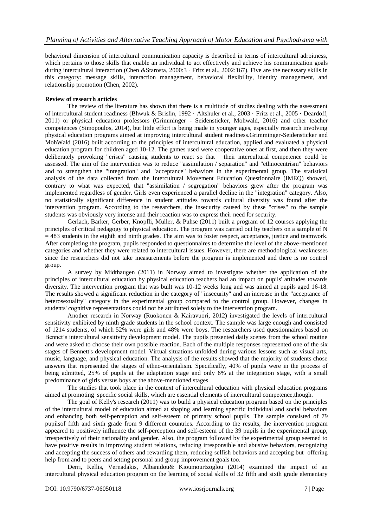behavioral dimension of intercultural communication capacity is described in terms of intercultural adroitness, which pertains to those skills that enable an individual to act effectively and achieve his communication goals during intercultural interaction (Chen &Starosta, 2000:3 · Fritz et al., 2002:167). Five are the necessary skills in this category: message skills, interaction management, behavioral flexibility, identity management, and relationship promotion (Chen, 2002).

# **Review of research articles**

The review of the literature has shown that there is a multitude of studies dealing with the assessment of intercultural student readiness (Bhwuk & Brislin, 1992 · Altshuler et al., 2003 · Fritz et al., 2005 · Deardoff, 2011) or physical education professors (Grimminger - Seidensticker, Mohwald, 2016) and other teacher competences (Simopoulos, 2014), but little effort is being made in younger ages, especially research involving physical education programs aimed at improving intercultural student readiness.Grimminger-Seidensticker and MohWald (2016) built according to the principles of intercultural education, applied and evaluated a physical education program for children aged 10-12. The games used were cooperative ones at first, and then they were deliberately provoking "crises" causing students to react so that their intercultural competence could be assessed. The aim of the intervention was to reduce "assimilation / separation" and "ethnocentrism" behaviors and to strengthen the "integration" and "acceptance" behaviors in the experimental group. The statistical analysis of the data collected from the Intercultural Movement Education Questionnaire (IMEQ) showed, contrary to what was expected, that "assimilation / segregation" behaviors grew after the program was implemented regardless of gender. Girls even experienced a parallel decline in the "integration" category. Also, no statistically significant difference in student attitudes towards cultural diversity was found after the intervention program. According to the researchers, the insecurity caused by these "crises" to the sample students was obviously very intense and their reaction was to express their need for security.

Gerlach, Barker, Gerber, Knopfli, Muller, & Puhse (2011) built a program of 12 courses applying the principles of critical pedagogy to physical education. The program was carried out by teachers on a sample of N  $= 483$  students in the eighth and ninth grades. The aim was to foster respect, acceptance, justice and teamwork. After completing the program, pupils responded to questionnaires to determine the level of the above-mentioned categories and whether they were related to intercultural issues. However, there are methodological weaknesses since the researchers did not take measurements before the program is implemented and there is no control group.

A survey by Midthaugen (2011) in Norway aimed to investigate whether the application of the principles of intercultural education by physical education teachers had an impact on pupils' attitudes towards diversity. The intervention program that was built was 10-12 weeks long and was aimed at pupils aged 16-18. The results showed a significant reduction in the category of "insecurity" and an increase in the "acceptance of heterosexuality" category in the experimental group compared to the control group. However, changes in students' cognitive representations could not be attributed solely to the intervention program.

Another research in Norway (Ruokonen & Kairavuori, 2012) investigated the levels of intercultural sensitivity exhibited by ninth grade students in the school context. The sample was large enough and consisted of 1214 students, of which 52% were girls and 48% were boys. The researchers used questionnaires based on Bennet's intercultural sensitivity development model. The pupils presented daily scenes from the school routine and were asked to choose their own possible reaction. Each of the multiple responses represented one of the six stages of Bennett's development model. Virtual situations unfolded during various lessons such as visual arts, music, language, and physical education. The analysis of the results showed that the majority of students chose answers that represented the stages of ethno-orientalism. Specifically, 40% of pupils were in the process of being admitted, 25% of pupils at the adaptation stage and only 6% at the integration stage, with a small predominance of girls versus boys at the above-mentioned stages.

The studies that took place in the context of intercultural education with physical education programs aimed at promoting specific social skills, which are essential elements of intercultural competence,though.

The goal of Kelly's research (2011) was to build a physical education program based on the principles of the intercultural model of education aimed at shaping and learning specific individual and social behaviors and enhancing both self-perception and self-esteem of primary school pupils. The sample consisted of 79 pupilsof fifth and sixth grade from 9 different countries. According to the results, the intervention program appeared to positively influence the self-perception and self-esteem of the 39 pupils in the experimental group, irrespectively of their nationality and gender. Also, the program followed by the experimental group seemed to have positive results in improving student relations, reducing irresponsible and abusive behaviors, recognizing and accepting the success of others and rewarding them, reducing selfish behaviors and accepting but offering help from and to peers and setting personal and group improvement goals too.

Derri, Kellis, Vernadakis, Albanidou& Kioumourtzoglou (2014) examined the impact of an intercultural physical education program on the learning of social skills of 32 fifth and sixth grade elementary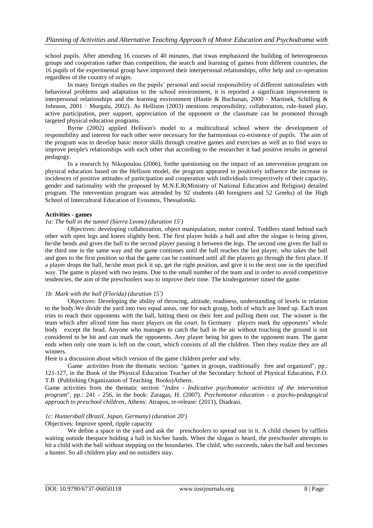school pupils. After attending 16 courses of 40 minutes, that itwas emphasized the building of heterogeneous groups and cooperation rather than competition, the search and learning of games from different countries, the 16 pupils of the experimental group have improved their interpersonal relationships, offer help and co-operation regardless of the country of origin.

In many foreign studies on the pupils' personal and social responsibility οf different nationalities with behavioral problems and adaptation to the school environment, it is reported a significant improvement in interpersonal relationships and the learning environment (Hastie & Buchanan, 2000 · Martinek, Schilling & Johnson, 2001 · Murgala, 2002). As Hellison (2003) mentions responsibility, collaboration, rule-based play, active participation, peer support, appreciation of the opponent or the classmate can be promoted through targeted physical education programs.

Byrne (2002) applied Hellison's model to a multicultural school where the development of responsibility and interest for each other were necessary for the harmonious co-existence of pupils. The aim of the program was to develop basic motor skills through creative games and exercises as well as to find ways to improve people's relationships with each other that according to the researcher it had positive results in general pedagogy.

In a research by Nikopoulou (2006), forthe questioning on the impact of an intervention program on physical education based on the Hellison model, the program appeared to positively influence the increase in incidences of positive attitudes of participation and cooperation with individuals irrespectively of their capacity, gender and nationality with the proposed by M.N.E.R(Ministry of National Education and Religion) detailed program. The intervention program was attended by 92 students (40 foreigners and 52 Greeks) of the High School of Intercultural Education of Evosmos, Thessaloniki.

# **Activities - games**

# *1a: The ball in the tunnel (Sierra Leone) (duration 15')*

Objectives: developing collaboration, object manipulation, motor control. Toddlers stand behind each other with open legs and knees slightly bent. The first player holds a ball and after the slogan is being given, he/she bends and gives the ball to the second player passing it between the legs. The second one gives the ball to the third one in the same way and the game continues until the ball reaches the last player, who takes the ball and goes to the first position so that the game can be continued until all the players go through the first place. If a player drops the ball, he/she must pick it up, get the right position, and give it to the next one in the specified way. The game is played with two teams. Due to the small number of the team and in order to avoid competitive tendencies, the aim of the preschoolers was to improve their time. The kindergartener timed the game.

#### *1b: Mark with the ball (Florida) (duration 15')*

Objectives: Developing the ability of throwing, altitude, readiness, understanding of levels in relation to the body.We divide the yard into two equal areas, one for each group, both of which are lined up. Each team tries to reach their opponents with the ball, hitting them on their feet and pulling them out. The winner is the team which after afixed time has more players on the court. In Germany players mark the opponents' whole body except the head. Anyone who manages to catch the ball in the air without touching the ground is not considered to be hit and can mark the opponents. Any player being hit goes to the opponent team. The game ends when only one team is left on the court, which consists of all the children. Then they realize they are all winners.

Here is a discussion about which version of the game children prefer and why.

Game activities from the thematic section: "games in groups, traditionally free and organized", pp.: 121-127, in the Book of the Physical Education Teacher of the Secondary School of Physical Education, P.O. T.B (Publishing Organization of Teaching Books)Athens.

Game activities from the thematic section "*Index - Indicative psychomotor activities of the intervention program*", pp.: 241 - 256, in the book: Zaragas, H. (2007). *Psychomotor education - a psycho-pedagogical approach to preschool children*, Athens: Atrapos, re-release: (2011), Diadrasi.

# *1c: Huntersball (Brazil, Japan, Germany) (duration 20')*

# Objectives: Improve speed, ripple capacity

We define a space in the yard and ask the preschoolers to spread out in it. A child chosen by raffleis waiting outside thespace holding a ball in his/her hands. When the slogan is heard, the preschooler attempts to hit a child with the ball without stepping on the boundaries. The child, who succeeds, takes the ball and becomes a hunter. So all children play and no outsiders stay.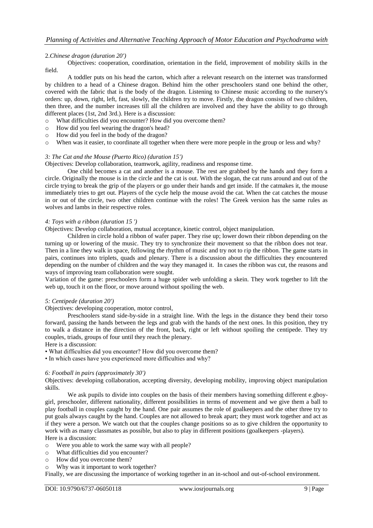# 2.*Chinese dragon (duration 20')*

Objectives: cooperation, coordination, orientation in the field, improvement of mobility skills in the field.

A toddler puts on his head the carton, which after a relevant research on the internet was transformed by children to a head of a Chinese dragon. Behind him the other preschoolers stand one behind the other, covered with the fabric that is the body of the dragon. Listening to Chinese music according to the nursery's orders: up, down, right, left, fast, slowly, the children try to move. Firstly, the dragon consists of two children, then three, and the number increases till all the children are involved and they have the ability to go through different places (1st, 2nd 3rd.). Here is a discussion:

- o What difficulties did you encounter? How did you overcome them?
- o How did you feel wearing the dragon's head?
- o How did you feel in the body of the dragon?
- o When was it easier, to coordinate all together when there were more people in the group or less and why?

#### *3: The Cat and the Mouse (Puerto Rico) (duration 15')*

Objectives: Develop collaboration, teamwork, agility, readiness and response time.

One child becomes a cat and another is a mouse. The rest are grabbed by the hands and they form a circle. Originally the mouse is in the circle and the cat is out. With the slogan, the cat runs around and out of the circle trying to break the grip of the players or go under their hands and get inside. If the catmakes it, the mouse immediately tries to get out. Players of the cycle help the mouse avoid the cat. When the cat catches the mouse in or out of the circle, two other children continue with the roles! The Greek version has the same rules as wolves and lambs in their respective roles.

#### *4: Toys with a ribbon (duration 15 ')*

Objectives: Develop collaboration, mutual acceptance, kinetic control, object manipulation.

Children in circle hold a ribbon of wafer paper. They rise up; lower down their ribbon depending on the turning up or lowering of the music. They try to synchronize their movement so that the ribbon does not tear. Then in a line they walk in space, following the rhythm of music and try not to rip the ribbon. The game starts in pairs, continues into triplets, quads and plenary. There is a discussion about the difficulties they encountered depending on the number of children and the way they managed it. In cases the ribbon was cut, the reasons and ways of improving team collaboration were sought.

Variation of the game: preschoolers form a huge spider web unfolding a skein. They work together to lift the web up, touch it on the floor, or move around without spoiling the web.

#### *5: Centipede (duration 20')*

Objectives: developing cooperation, motor control,

Preschoolers stand side-by-side in a straight line. With the legs in the distance they bend their torso forward, passing the hands between the legs and grab with the hands of the next ones. In this position, they try to walk a distance in the direction of the front, back, right or left without spoiling the centipede. They try couples, triads, groups of four until they reach the plenary.

Here is a discussion:

- What difficulties did you encounter? How did you overcome them?
- In which cases have you experienced more difficulties and why?

#### *6: Football in pairs (approximately 30')*

Objectives: developing collaboration, accepting diversity, developing mobility, improving object manipulation skills.

We ask pupils to divide into couples on the basis of their members having something different e.gboygirl, preschooler, different nationality, different possibilities in terms of movement and we give them a ball to play football in couples caught by the hand. One pair assumes the role of goalkeepers and the other three try to put goals always caught by the hand. Couples are not allowed to break apart; they must work together and act as if they were a person. We watch out that the couples change positions so as to give children the opportunity to work with as many classmates as possible, but also to play in different positions (goalkeepers -players). Here is a discussion:

- o Were you able to work the same way with all people?
- o What difficulties did you encounter?
- o How did you overcome them?
- o Why was it important to work together?

Finally, we are discussing the importance of working together in an in-school and out-of-school environment.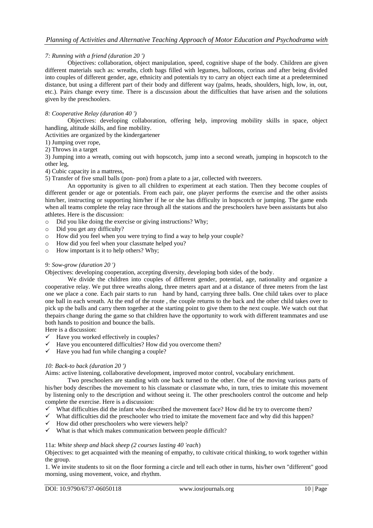## *7: Running with a friend (duration 20 ')*

Objectives: collaboration, object manipulation, speed, cognitive shape of the body. Children are given different materials such as: wreaths, cloth bags filled with legumes, balloons, corinas and after being divided into couples of different gender, age, ethnicity and potentials try to carry an object each time at a predetermined distance, but using a different part of their body and different way (palms, heads, shoulders, high, low, in, out, etc.). Pairs change every time. There is a discussion about the difficulties that have arisen and the solutions given by the preschoolers.

#### *8: Cooperative Relay (duration 40 ')*

Objectives: developing collaboration, offering help, improving mobility skills in space, object handling, altitude skills, and fine mobility.

Activities are organized by the kindergartener

1) Jumping over rope,

2) Throws in a target

3) Jumping into a wreath, coming out with hopscotch, jump into a second wreath, jumping in hopscotch to the other leg,

4) Cubic capacity in a mattress,

5) Transfer of five small balls (pon- pon) from a plate to a jar, collected with tweezers.

An opportunity is given to all children to experiment at each station. Then they become couples of different gender or age or potentials. From each pair, one player performs the exercise and the other assists him/her, instructing or supporting him/her if he or she has difficulty in hopscotch or jumping. The game ends when all teams complete the relay race through all the stations and the preschoolers have been assistants but also athletes. Here is the discussion:

- o Did you like doing the exercise or giving instructions? Why;
- o Did you get any difficulty?
- o How did you feel when you were trying to find a way to help your couple?
- o How did you feel when your classmate helped you?
- o How important is it to help others? Why;

#### *9: Sow-grow (duration 20 ')*

Objectives: developing cooperation, accepting diversity, developing both sides of the body.

We divide the children into couples of different gender, potential, age, nationality and organize a cooperative relay. We put three wreaths along, three meters apart and at a distance of three meters from the last one we place a cone. Each pair starts to run hand by hand, carrying three balls. One child takes over to place one ball in each wreath. At the end of the route , the couple returns to the back and the other child takes over to pick up the balls and carry them together at the starting point to give them to the next couple. We watch out that thepairs change during the game so that children have the opportunity to work with different teammates and use both hands to position and bounce the balls.

Here is a discussion:

- $\checkmark$  Have you worked effectively in couples?
- $\checkmark$  Have you encountered difficulties? How did you overcome them?
- $\checkmark$  Have you had fun while changing a couple?

# *10: Back-to back (duration 20 ')*

Aims: active listening, collaborative development, improved motor control, vocabulary enrichment.

Two preschoolers are standing with one back turned to the other. One of the moving various parts of his/her body describes the movement to his classmate or classmate who, in turn, tries to imitate this movement by listening only to the description and without seeing it. The other preschoolers control the outcome and help complete the exercise. Here is a discussion:

- $\checkmark$  What difficulties did the infant who described the movement face? How did he try to overcome them?
- $\checkmark$  What difficulties did the preschooler who tried to imitate the movement face and why did this happen?
- $\checkmark$  How did other preschoolers who were viewers help?
- $\checkmark$  What is that which makes communication between people difficult?

#### 11a: *White sheep and black sheep (2 courses lasting 40 'each*)

Objectives: to get acquainted with the meaning of empathy, to cultivate critical thinking, to work together within the group.

1. We invite students to sit on the floor forming a circle and tell each other in turns, his/her own "different" good morning, using movement, voice, and rhythm.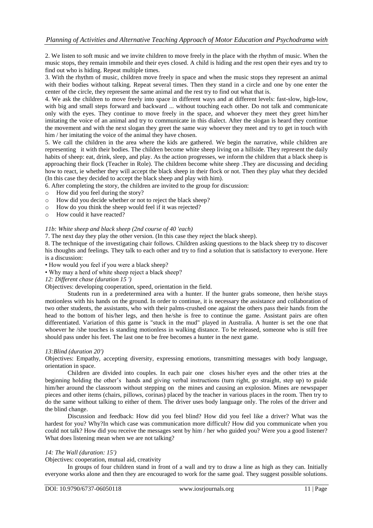2. We listen to soft music and we invite children to move freely in the place with the rhythm of music. When the music stops, they remain immobile and their eyes closed. A child is hiding and the rest open their eyes and try to find out who is hiding. Repeat multiple times.

3. With the rhythm of music, children move freely in space and when the music stops they represent an animal with their bodies without talking. Repeat several times. Then they stand in a circle and one by one enter the center of the circle, they represent the same animal and the rest try to find out what that is.

4. We ask the children to move freely into space in different ways and at different levels: fast-slow, high-low, with big and small steps forward and backward ... without touching each other. Do not talk and communicate only with the eyes. They continue to move freely in the space, and whoever they meet they greet him/her imitating the voice of an animal and try to communicate in this dialect. After the slogan is heard they continue the movement and with the next slogan they greet the same way whoever they meet and try to get in touch with him / her imitating the voice of the animal they have chosen.

5. We call the children in the area where the kids are gathered. We begin the narrative, while children are representing it with their bodies. The children become white sheep living on a hillside. They represent the daily habits of sheep: eat, drink, sleep, and play. As the action progresses, we inform the children that a black sheep is approaching their flock (Teacher in Role). The children become white sheep .They are discussing and deciding how to react, ie whether they will accept the black sheep in their flock or not. Then they play what they decided (In this case they decided to accept the black sheep and play with him).

6. After completing the story, the children are invited to the group for discussion:

- o How did you feel during the story?
- o How did you decide whether or not to reject the black sheep?
- o How do you think the sheep would feel if it was rejected?
- o How could it have reacted?

#### *11b: White sheep and black sheep (2nd course of 40 'each)*

7. The next day they play the other version. (In this case they reject the black sheep).

8. The technique of the investigating chair follows. Children asking questions to the black sheep try to discover his thoughts and feelings. They talk to each other and try to find a solution that is satisfactory to everyone. Here is a discussion:

• How would you feel if you were a black sheep?

• Why may a herd of white sheep reject a black sheep?

#### *12: Different chase (duration 15 ')*

Objectives: developing cooperation, speed, orientation in the field.

Students run in a predetermined area with a hunter. If the hunter grabs someone, then he/she stays motionless with his hands on the ground. In order to continue, it is necessary the assistance and collaboration of two other students, the assistants, who with their palms-crushed one against the others pass their hands from the head to the bottom of his/her legs, and then he/she is free to continue the game. Assistant pairs are often differentiated. Variation of this game is "stuck in the mud" played in Australia. A hunter is set the one that whoever he /she touches is standing motionless in walking distance. To be released, someone who is still free should pass under his feet. The last one to be free becomes a hunter in the next game.

#### *13:Blind (duration 20')*

Objectives: Empathy, accepting diversity, expressing emotions, transmitting messages with body language, orientation in space.

Children are divided into couples. In each pair one closes his/her eyes and the other tries at the beginning holding the other's hands and giving verbal instructions (turn right, go straight, step up) to guide him/her around the classroom without stepping on the mines and causing an explosion. Mines are newspaper pieces and other items (chairs, pillows, corinas) placed by the teacher in various places in the room. Then try to do the same without talking to either of them. The driver uses body language only. The roles of the driver and the blind change.

Discussion and feedback: How did you feel blind? How did you feel like a driver? What was the hardest for you? Why?In which case was communication more difficult? How did you communicate when you could not talk? How did you receive the messages sent by him / her who guided you? Were you a good listener? What does listening mean when we are not talking?

## *14: The Wall (duration: 15')*

Objectives: cooperation, mutual aid, creativity

In groups of four children stand in front of a wall and try to draw a line as high as they can. Initially everyone works alone and then they are encouraged to work for the same goal. They suggest possible solutions.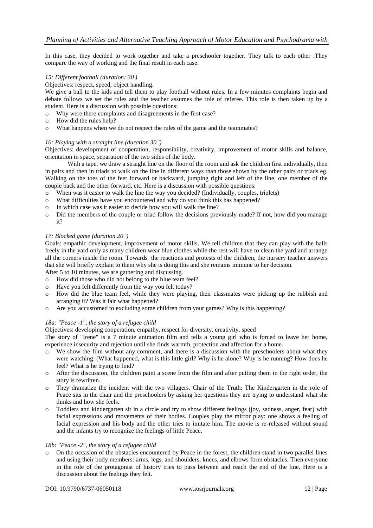In this case, they decided to work together and take a preschooler together. They talk to each other .They compare the way of working and the final result in each case.

#### *15: Different football (duration: 30')*

#### Objectives: respect, speed, object handling.

We give a ball to the kids and tell them to play football without rules. In a few minutes complaints begin and debate follows we set the rules and the teacher assumes the role of referee. This role is then taken up by a student. Here is a discussion with possible questions:

- o Why were there complaints and disagreements in the first case?
- o How did the rules help?
- o What happens when we do not respect the rules of the game and the teammates?

#### *16: Playing with a straight line (duration 30 ')*

Objectives: development of cooperation, responsibility, creativity, improvement of motor skills and balance, orientation in space, separation of the two sides of the body.

With a tape, we draw a straight line on the floor of the room and ask the children first individually, then in pairs and then in triads to walk on the line in different ways than those shown by the other pairs or triads eg. Walking on the toes of the feet forward or backward, jumping right and left of the line, one member of the couple back and the other forward, etc. Here is a discussion with possible questions:

- $\circ$  When was it easier to walk the line the way you decided? (Individually, couples, triplets)  $\circ$  What difficulties have you encountered and why do you think this has hanneed?
- What difficulties have you encountered and why do you think this has happened?
- o In which case was it easier to decide how you will walk the line?
- o Did the members of the couple or triad follow the decisions previously made? If not, how did you manage it?

#### *17: Blocked game (duration 20 ')*

Goals: empathic development, improvement of motor skills. We tell children that they can play with the balls freely in the yard only as many children wear blue clothes while the rest will have to clean the yard and arrange all the corners inside the room. Towards the reactions and protests of the children, the nursery teacher answers that she will briefly explain to them why she is doing this and she remains immune to her decision.

After 5 to 10 minutes, we are gathering and discussing.

- o How did those who did not belong to the blue team feel?
- o Have you felt differently from the way you felt today?
- o How did the blue team feel, while they were playing, their classmates were picking up the rubbish and arranging it? Was it fair what happened?
- o Are you accustomed to excluding some children from your games? Why is this happening?

#### *18a: "Peace -1", the story of a refugee child*

Objectives: developing cooperation, empathy, respect for diversity, creativity, speed

The story of "Irene" is a 7 minute animation film and tells a young girl who is forced to leave her home, experience insecurity and rejection until she finds warmth, protection and affection for a home.

- o We show the film without any comment, and there is a discussion with the preschoolers about what they were watching. (What happened, what is this little girl? Why is he alone? Why is he running? How does he feel? What is he trying to find?
- $\circ$  After the discussion, the children paint a scene from the film and after putting them in the right order, the story is rewritten.
- o They dramatize the incident with the two villagers. Chair of the Truth: The Kindergarten in the role of Peace sits in the chair and the preschoolers by asking her questions they are trying to understand what she thinks and how she feels.
- o Toddlers and kindergarten sit in a circle and try to show different feelings (joy, sadness, anger, fear) with facial expressions and movements of their bodies. Couples play the mirror play: one shows a feeling of facial expression and his body and the other tries to imitate him. The movie is re-released without sound and the infants try to recognize the feelings of little Peace.

#### *18b: "Peace -2", the story of a refugee child*

On the occasion of the obstacles encountered by Peace in the forest, the children stand in two parallel lines and using their body members: arms, legs, and shoulders, knees, and elbows form obstacles. Then everyone in the role of the protagonist of history tries to pass between and reach the end of the line. Here is a discussion about the feelings they felt.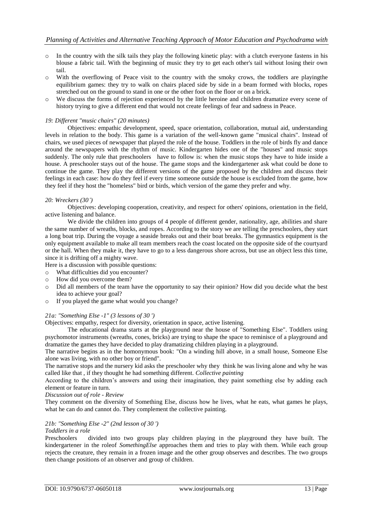- $\circ$  In the country with the silk tails they play the following kinetic play: with a clutch everyone fastens in his blouse a fabric tail. With the beginning of music they try to get each other's tail without losing their own tail.
- o With the overflowing of Peace visit to the country with the smoky crows, the toddlers are playingthe equilibrium games: they try to walk on chairs placed side by side in a beam formed with blocks, ropes stretched out on the ground to stand in one or the other foot on the floor or on a brick.
- o We discuss the forms of rejection experienced by the little heroine and children dramatize every scene of history trying to give a different end that would not create feelings of fear and sadness in Peace.

#### *19: Different "music chairs" (20 minutes)*

Objectives: empathic development, speed, space orientation, collaboration, mutual aid, understanding levels in relation to the body. This game is a variation of the well-known game "musical chairs". Instead of chairs, we used pieces of newspaper that played the role of the house. Toddlers in the role of birds fly and dance around the newspapers with the rhythm of music. Kindergarten hides one of the "houses" and music stops suddenly. The only rule that preschoolers have to follow is: when the music stops they have to hide inside a house. A preschooler stays out of the house. The game stops and the kindergartener ask what could be done to continue the game. They play the different versions of the game proposed by the children and discuss their feelings in each case: how do they feel if every time someone outside the house is excluded from the game, how they feel if they host the "homeless" bird or birds, which version of the game they prefer and why.

#### *20: Wreckers (30')*

Objectives: developing cooperation, creativity, and respect for others' opinions, orientation in the field, active listening and balance.

We divide the children into groups of 4 people of different gender, nationality, age, abilities and share the same number of wreaths, blocks, and ropes. According to the story we are telling the preschoolers, they start a long boat trip. During the voyage a seaside breaks out and their boat breaks. The gymnastics equipment is the only equipment available to make all team members reach the coast located on the opposite side of the courtyard or the hall. When they make it, they have to go to a less dangerous shore across, but use an object less this time, since it is drifting off a mighty wave.

Here is a discussion with possible questions:

- o What difficulties did you encounter?
- o How did you overcome them?
- o Did all members of the team have the opportunity to say their opinion? How did you decide what the best idea to achieve your goal?
- o If you played the game what would you change?

#### *21a: "Something Else -1" (3 lessons of 30 ')*

Objectives: empathy, respect for diversity, orientation in space, active listening.

The educational drama starts at the playground near the house of "Something Else". Toddlers using psychomotor instruments (wreaths, cones, bricks) are trying to shape the space to reminisce of a playground and dramatize the games they have decided to play dramatizing children playing in a playground.

The narrative begins as in the homonymous book: "On a winding hill above, in a small house, Someone Else alone was living, with no other boy or friend".

The narrative stops and the nursery kid asks the preschooler why they think he was living alone and why he was called like that , if they thought he had something different. *Collective painting*

According to the children's answers and using their imagination, they paint something else by adding each element or feature in turn.

#### *Discussion out of role - Review*

They comment on the diversity of Something Else, discuss how he lives, what he eats, what games he plays, what he can do and cannot do. They complement the collective painting.

## *21b: "Something Else -2" (2nd lesson of 30 ')*

#### *Toddlers in a role*

Preschoolers divided into two groups play children playing in the playground they have built. The kindergartener in the roleof *SomethingElse* approaches them and tries to play with them. While each group rejects the creature, they remain in a frozen image and the other group observes and describes. The two groups then change positions of an observer and group of children.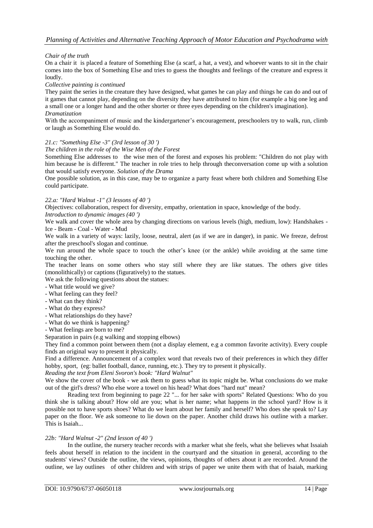# *Chair of the truth*

On a chair it is placed a feature of Something Else (a scarf, a hat, a vest), and whoever wants to sit in the chair comes into the box of Something Else and tries to guess the thoughts and feelings of the creature and express it loudly.

#### *Collective painting is continued*

They paint the series in the creature they have designed, what games he can play and things he can do and out of it games that cannot play, depending on the diversity they have attributed to him (for example a big one leg and a small one or a longer hand and the other shorter or three eyes depending on the children's imagination). *Dramatization*

With the accompaniment of music and the kindergartener's encouragement, preschoolers try to walk, run, climb or laugh as Something Else would do.

#### *21.c: "Something Else -3" (3rd lesson of 30 ')*

#### *The children in the role of the Wise Men of the Forest*

Something Else addresses to the wise men of the forest and exposes his problem: "Children do not play with him because he is different." The teacher in role tries to help through theconversation come up with a solution that would satisfy everyone. *Solution of the Drama*

One possible solution, as in this case, may be to organize a party feast where both children and Something Else could participate.

#### *22.a: "Hard Walnut -1" (3 lessons of 40 ')*

Objectives: collaboration, respect for diversity, empathy, orientation in space, knowledge of the body. *Introduction to dynamic images (40 ')*

We walk and cover the whole area by changing directions on various levels (high, medium, low): Handshakes -Ice - Beam - Coal - Water - Mud

We walk in a variety of ways: lazily, loose, neutral, alert (as if we are in danger), in panic. We freeze, defrost after the preschool's slogan and continue.

We run around the whole space to touch the other's knee (or the ankle) while avoiding at the same time touching the other.

The teacher leans on some others who stay still where they are like statues. The others give titles (monolithically) or captions (figuratively) to the statues.

We ask the following questions about the statues:

- What title would we give?
- What feeling can they feel?
- What can they think?
- What do they express?
- What relationships do they have?
- What do we think is happening?
- What feelings are born to me?

Separation in pairs (e.g walking and stopping elbows)

They find a common point between them (not a display element, e.g a common favorite activity). Every couple finds an original way to present it physically.

Find a difference. Announcement of a complex word that reveals two of their preferences in which they differ hobby, sport, (eg: ballet football, dance, running, etc.). They try to present it physically.

*Reading the text from Eleni Svoron's book: "Hard Walnut"*

We show the cover of the book - we ask them to guess what its topic might be. What conclusions do we make out of the girl's dress? Who else wore a towel on his head? What does "hard nut" mean?

Reading text from beginning to page 22 "... for her sake with sports" Related Questions: Who do you think she is talking about? How old are you; what is her name; what happens in the school yard? How is it possible not to have sports shoes? What do we learn about her family and herself? Who does she speak to? Lay paper on the floor. We ask someone to lie down on the paper. Another child draws his outline with a marker. This is Isaiah...

#### *22b: "Hard Walnut -2" (2nd lesson of 40 ')*

In the outline, the nursery teacher records with a marker what she feels, what she believes what Issaiah feels about herself in relation to the incident in the courtyard and the situation in general, according to the students' views? Outside the outline, the views, opinions, thoughts of others about it are recorded. Around the outline, we lay outlines of other children and with strips of paper we unite them with that of Isaiah, marking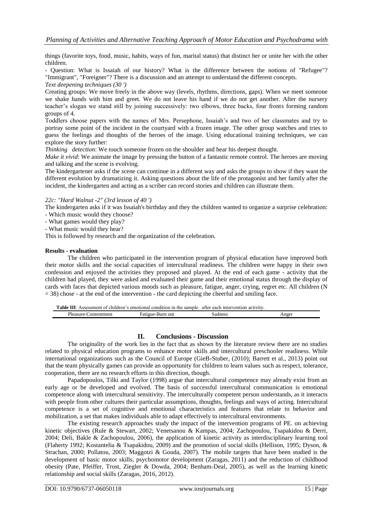things (favorite toys, food, music, habits, ways of fun, marital status) that distinct her or unite her with the other children.

- Question: What is Issaiah of our history? What is the difference between the notions of "Refugee"? "Immigrant", "Foreigner"? There is a discussion and an attempt to understand the different concepts. *Text deepening techniques (30 ')*

Creating groups: We move freely in the above way (levels, rhythms, directions, gaps). When we meet someone we shake hands with him and greet. We do not leave his hand if we do not get another. After the nursery teacher's slogan we stand still by joining successively: two elbows, three backs, four fronts forming random groups of 4.

Toddlers choose papers with the names of Mrs. Persephone, Issaiah's and two of her classmates and try to portray some point of the incident in the courtyard with a frozen image. The other group watches and tries to guess the feelings and thoughts of the heroes of the image. Using educational training techniques, we can explore the story further:

*Thinking detection*: We touch someone frozen on the shoulder and hear his deepest thought.

*Make it vivid*: We animate the image by pressing the button of a fantastic remote control. The heroes are moving and talking and the scene is evolving.

The kindergartener asks if the scene can continue in a different way and asks the groups to show if they want the different evolution by dramatizing it. Asking questions about the life of the protagonist and her family after the incident, the kindergarten and acting as a scriber can record stories and children can illustrate them.

#### *22c: "Hard Walnut -2" (3rd lesson of 40 ')*

The kindergarten asks if it was Issaiah's birthday and they the children wanted to organize a surprise celebration:

- Which music would they choose?
- What games would they play?
- What music would they hear?

This is followed by research and the organization of the celebration.

#### **Results - evaluation**

The children who participated in the intervention program of physical education have improved both their motor skills and the social capacities of intercultural readiness. The children were happy in their own confession and enjoyed the activities they proposed and played. At the end of each game - activity that the children had played, they were asked and evaluated their game and their emotional status through the display of cards with faces that depicted various moods such as pleasure, fatigue, anger, crying, regret etc. All children (N  $=$  38) chose - at the end of the intervention - the card depicting the cheerful and smiling face.

**Table ΙΙΙ**: Assessment of children's emotional condition in the sample after each intervention activity. Pleasure-Contentment Fatigue-Burn out Sadness Anger

#### **II. Conclusions - Discussion**

The originality of the work lies in the fact that as shown by the literature review there are no studies related to physical education programs to enhance motor skills and intercultural preschooler readiness. While international organizations such as the Council of Europe (GieB-Stuber, (2010); Barrett et al., 2013) point out that the team physically games can provide an opportunity for children to learn values such as respect, tolerance, cooperation, there are no research efforts in this direction, though.

Papadopoulos, Tilki and Taylor (1998) argue that intercultural competence may already exist from an early age or be developed and evolved. The basis of successful intercultural communication is emotional competence along with intercultural sensitivity. The interculturally competent person understands, as it interacts with people from other cultures their particular assumptions, thoughts, feelings and ways of acting. Intercultural competence is a set of cognitive and emotional characteristics and features that relate to behavior and mobilization, a set that makes individuals able to adapt effectively to intercultural environments.

The existing research approaches study the impact of the intervention programs of PE. on achieving kinetic objectives (Rule & Stewart, 2002; Venetsanou & Kampas, 2004; Zachopoulou, Tsapakidou & Derri, 2004; Deli, Bakle & Zachopoulou, 2006), the application of kinetic activity as interdisciplinary learning tool (Flaherty 1992; Kostantelia & Tsapakidou, 2009) and the promotion of social skills (Hellison, 1995; Dyson, & Strachan, 2000; Pollatou, 2003; Maggotzi & Gouda, 2007). The mobile targets that have been studied is the development of basic motor skills, psychomotor development (Zaragas, 2011) and the reduction of childhood obesity (Pate, Pfeiffer, Trost, Ziegler & Dowda, 2004; Benham-Deal, 2005), as well as the learning kinetic relationship and social skills (Zaragas, 2016, 2012).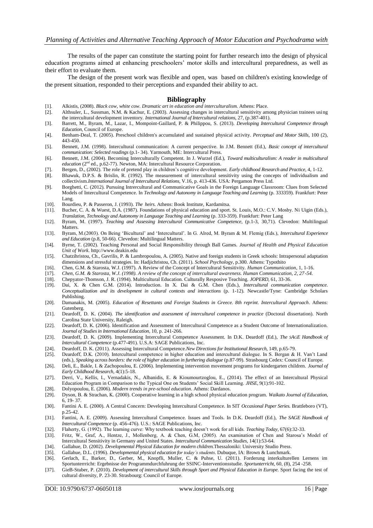The results of the paper can constitute the starting point for further research into the design of physical education programs aimed at enhancing preschoolers' motor skills and intercultural preparedness, as well as their effort to evaluate them.

The design of the present work was flexible and open, was based on children's existing knowledge of the present situation, responded to their perceptions and expanded their ability to act.

#### **Bibliography**

- [1]. Alkistis, (2008). *Black cow, white cow. Dramatic art in education and interculturalism*. Athens: Place.
- [2]. Althsuler, L., Sussman, N.M. & Kachur, E. (2003). Assessing changes in intercultural sensitivity among physician trainees using the intercultural development inventory. *International Journal of Intercultural relations,* 27, (p.387-401).
- [3]. Barrett, M., Byram, M., Lazar, I., Mompoint-Gaillard, P. & Philippou, S. (2013). *Developing Intercultural Competence through Education,* Council of Europe.
- [4]. Benham-Deal, T. (2005). Preschool children's accumulated and sustained physical activity. *Perceptual and Motor Skills,* 100 (2), 443-450.
- [5]. Bennett, J.M. (1998). Intercultural communication: A current perspective. In J.M. Bennett (Ed.), *Basic concept of intercultural communication: Selected readings* (p.1- 34). Yarmouth, ME: Intercultural Press.
- [6]. Bennett, J.M. (2004). Becoming Interculturally Competent. In J. Wurzel (Ed.), *Toward multiculturalism: A reader in multicultural education* (2<sup>nd</sup> ed., p.62-77). Newton, MA: Intercultural Resource Corporation.
- [7]. Bergen, D., (2002). The role of pretend play in children's cognitive development. *Early childhood Research and Practice,* 4, 1-12.
- [8]. Bhawuk, D.P.S. & Brislin, R. (1992). The measurement of intercultural sensitivity using the concepts of individualism and collectivism.*International Journal of Intercultural Relations,* V.16, p. 413-436. USA: Pergamon Press Ltd.
- [9]. Borghetti, C. (2012). Pursuing Intrercultural and Communicative Goals in the Foreign Language Classroom: Clues from Selected Models of Intercultural Competence. In *Technology and Autonomy in Language Teaching and Learning* (p. 333359). Frankfurt: Peter Lang.
- [10]. Bourdieu, P. & Passeron, J. (1993). *The heirs*. Αthens: Book Institute, Κardamitsa.
- [11]. Bucher, C. A. & Wuest, D.A. (1987). Foundations of physical education and sport. St. Louis, M.O.: C.V. Mosby. Ni Uigin (Eds.), *Translation, Technology and Autonomy in Language Teaching and Learning* (p. 333-359). Frankfurt: Peter Lang
- [12]. Byram, M. (1997). *Teaching and Assessing Intercultural Communicative Competence,* (p.1-3, 30,71). Clevedon: Multilingual Matters.
- [13]. Byram, M.(2003). On Being 'Bicultural' and 'Intercultural'. In G. Alred, M. Byram & M. Flemig (Eds.), *Intercultural Experience and Education* (p.8, 50-66). Clevedon: Multilingual Matters.
- [14]. Byrne, T. (2002). Teaching Personal and Social Responsibility through Ball Games. *Journal of Health and Physical Education Unit of Work*. http://www.deakin.edu
- [15]. Chatzihristou, Ch., Gavrilis, P. & Lambropoulou, A. (2005). Native and foreign students in Greek schools: Intrapersonal adaptation dimensions and stressful strategies. In: Hadjichristou, Ch. (2011). *School Psychology*, p.300. Athens: Typothito
- [16]. Chen, G.M. & Starosta, W.J. (1997). A Review of the Concept of Intercultural Sensitivity. *Human Communication*, 1, 1-16.
- [17]. *Chen, G.M. & Starosta, W.J. (1998). A review of the concept of intercultural awareness. Human Communication, 2, 27-54.*
- [18]. Chepyator-Thomson, J. R. (1994). Multicultural Education. Culturally Resposive Teaching. *JOPERD,* 61, 33-36.
- [19]. Dai, X. & Chen G.M. (2014). Introduction. In X. Dai & G.M. Chen (Eds.), *Intercultural communication competence. Conceptualization and its development in cultural contexts and interactions* (p. 1-12). Newcastle/Tyne: Cambridge Scholars Publishing.
- [20]. Damanakis, M. (2005). *Education of Resettants and Foreign Students in Greece. 8th reprint. Intercultural Approach*. Athens: Gutenberg.
- [21]. Deardoff, D. K. (2004). *The identification and assessment of intercultural competence in practice* (Doctoral dissertation). North Carolina State University, Raleigh.
- [22]. Deardoff, D. K. (2006). Identification and Assessment of Intercultural Competence as a Student Outcome of Internationalization. *Journal of Studies in International Education,* 10, p. 241-266.
- [23]. Deardoff, D. K. (2009). Implementing Intercultural Competence Assessment. In D.K. Deardoff (Ed.), *The SAGE Handbook of Intercultural Competence* (p.477-491). U.S.A: SAGE Publications, Inc.
- [24]. Deardoff, D. K. (2011). Assessing Intercultural Competence.*New Directions for Institutional Research,* 149, p.65-79.
- Deardoff, D.K. (2010). Intercultural competence in higher education and intercultural dialogue. In S. Bergan & H. Van't Land (eds.), *Speaking across borders: the role of higher education in furthering dialogue* (p.87-99). Strasbourg Cedex: Council of Europe.
- [26]. Deli, E., Bakle, I. & Zachopoulou, E. (2006). Implementing intervention movement programs for kindergarten children. *Journal of Early Childhood Research,* 4(1):5-18.
- [27]. Derri, V., Kellis, I., Vernadakis, N., Albanidis, E. & Kioumourtzoglou, E., (2014). The effect of an Intercultural Physical Education Program in Comparison to the Typical One on Students' Social Skill Learning. *JHSE,* 9(1):91-102.
- [28]. Dolyopoulou, E. (2006). *Modern trends in pre-school education*. Athens: Dardanos.
- [29]. Dyson, Β. & Strachan, Κ. (2000). Cooperative learning in a high school physical education program. *Waikato Journal of Education,* 6, 19- 37.
- [30]. Fantini A. E. (2000). A Central Concern: Developing Intercultural Competence. In SIT *Occasional Paper Series.* Brattleboro (VT), p.25-42.
- [31]. Fantini, A. E. (2009). Assessing Intercultural Competence. Issues and Tools. In D.K. Deardoff (Ed.), *The SAGE Handbook of Intercultural Competence* (p. 456-476). U.S.: SAGE Publications, Inc.
- [32]. Flaherty, G. (1992). The learning curve: Why textbook teaching doesn't work for all kids. *Teaching Today,* 67(6):32-33.
- [33]. Fritz, W., Graf, A., Hentze, J., Mollenberg, A. & Chen, G.M, (2005). An examination of Chen and Starosa's Model of Intercultural Sensitivity in Germany and United States. *Intercultural Communication Studies,* 14(1):53-64.
- [34]. Gallahue, D. (2002). *Developmental Physical Education for modern children.*Thessaloniki: University Studio Press.
- [35]. Gallahue, D.L. (1996). *Developmental physical education for today's students*. Dubuque, IA: Brown & Lunchmark.
- [36]. Gerlach, E., Barker, D., Gerber, M., Knopfli, Muller, C. & Puhse, U. (2011). Forderung interkulturellen Lernens im Sportunterrricht: Ergebnisse der Programmdurchfuhrung der SSINC-Interventionsstudie. *Sportunterricht,* 60, (8), 254 -258.
- [37]. GieB-Stuber, P. (2010). *Development of intercultural Skills through Sport and Physical Education in Europe.* Sport facing the test of cultural diversity, P. 23-30. Strasbourg: Council of Europe.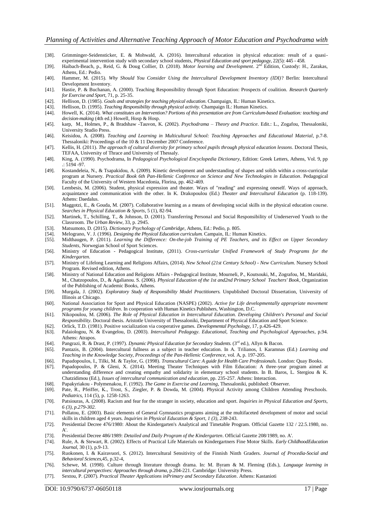- [38]. Grimminger-Seidensticker, E. & Mohwald, A. (2016). Intercultural education in physical education: result of a quasiexperimental intervention study with secondary school students, *Physical Education and sport pedagogy,* 22(5): 445 - 458*.*
- [39]. Haibach-Beach, p., Reid, G. & Doug Collier, D. (2018). *Motor learning and Development*. 2nd Edition, Custody: H., Zarakas, Athens, Ed.: Pedio.
- [40]. Hammer, M. (2015). *Why Should You Consider Using the Intercultural Development Inventory (IDI)*? Berlin: Intercultural Development Inventory.
- [41]. Hastie, P. & Buchanan, A. (2000). Teaching Responsibility through Sport Education: Prospects of coalition. *Research Quarterly for Exercise and Sport,* 71, p. 25-35.
- [42]. Hellison, D. (1985). *Goals and strategies for teaching physical education*. Champaign, IL: Human Kinetics.<br>[43]. Hellison, D. (1995). *Teaching Responsibility through physical activity*. Champaign IL: Human Kinetics
- [43]. Hellison, D. (1995). *Teaching Responsibility through physical activity*. Champaign IL: Human Kinetics. [44]. Howell, K. (2014). What constitutes an Intervention? Portions of this presentation are from Curriculum-[44]. Howell, K. (2014). *What constitutes an Intervention? Portions of this presentation are from Curriculum-based Evaluation: teaching and*
- *decision-making* (4th ed.) Howell, Hosp & Hosp. [45]. karp, M., Holmes, P., & Bradshaw -Tauvon, K. (2002). *Psychodrama – Theory and Practice*. Edit.: L., Ζogafou, Thessaloniki,
- University Studio Press.
- [46]. Keisidou, A. (2008). *Teaching and Learning in Multicultural School: Teaching Approaches and Educational Material*, p.7-8. Thessaloniki: Proceedings of the 10 & 11 December 2007 Conference.
- [47]. Kellis, H. (2011). *The approach of cultural diversity for primary school pupils through physical education lessons*. Doctoral Thesis, TEFAA, University of Thrace and University of Thessaly.
- [48]. King, A. (1990). Psychodrama, In *Pedagogical Psychological Encyclopedia Dictionary*, Edition: Greek Letters, Athens, Vol. 9, pp .: 5194 -97.
- [49]. Kostandeleia, N., & Tsapakidou, A. (2009). Kinetic development and understanding of shapes and solids within a cross-curricular program at Nursery. *Practical Book 6th Pan-Hellenic Conference on Science and New Technologies in Education*. Pedagogical Faculty of the University of Western Macedonia, Florina, pp. 462-469.
- [50]. Lembesis, M. (2006). Student, physical expression and theater. Ways of "reading" and expressing oneself. Ways of approach, acquaintance and communication with the other. In K. Drakopoulou (Ed.) *Theater and Intercultural Education* (p. 118-139). Athens: Daedalus.
- [51]. Maggotzi, E., & Gouda, M. (2007). Collaborative learning as a means of developing social skills in the physical education course. *Searches in Physical Education & Sports*, 5 (1), 82-94.
- [52]. Martinek, T., Schilling, T., & Johnson, D. (2001). Transferring Personal and Social Responsibility of Underserved Youth to the Classroom. *The Urban Review,* 33, p. 2945.
- [53]. Matsumoto, D. (2015). *Dictionary Psychology of Cambridge*, Athens, Ed.: Pedio, p. 805.
- [54]. Melograno, V. J. (1996). *Designing the Physical Education curriculum.* Campain, IL: Human Kinetics.
- [55]. Midthaugen, P. (2011). *Learning the Difference: On-the-job Training of PE Teachers, and its Effect on Upper Secondary Students*, Norwegian School of Sport Sciences.
- [56]. Ministry of Education Pedagogical Institute, (2011). *Cross-curricular Unified Framework of Study Programs for the Kindergarten.*
- [57]. Ministry of Lifelong Learning and Religions Affairs, (2014). *New School (21st Century School) - New Curriculum*. Nursery School Program. Revised edition, Athens.
- [58]. Ministry of National Education and Religions Affairs Pedagogical Institute, Mourneli, P., Koutsouki, M., Zografou, M., Maridaki, M., Chatzopoulos, D., & Agalianou. S. (2006). *Physical Education of the 1st and2nd Primary School Teachers' Book*, Organization of the Publishing of Academic Books, Athens.
- [59]. Murgala, J. (2002). *Exploratory Study of Responsibility Model Practitioners.* Unpublished Doctoral Dissertation, University of Illinois at Chicago.
- [60]. National Association for Sport and Physical Education (NASPE) (2002). *Active for Life developmentally appropriate movement programs for young children*. In cooperation with Human Kinetics Publishers*,* Washington, D.C.
- [61]. Nikopoulou, M. (2006). *The Role of Physical Education in Intercultural Education. Developing Children's Personal and Social Responsibility*. Doctoral thesis. Aristotle University of Thessaloniki, Department of Physical Education and Sport Science.
- [62]. Orlick, T.D. (1981). Positive socialization via cooperative games. *Developmental Psychology,* 17, p.426-429.
- [63]. Palaiologou, N. & Evangelou, D. (2003). *Intercultural Pedagogy. Educational, Teaching and Psychological Approaches*, p.94. Athens: Atrapos.
- [64]. Pangrazi, R. & Drast, P. (1997). *Dynamic Physical Education for Secondary Students.* (3rd ed.), Allyn & Bacon.
- [65]. Pantazis, B. (2004). Intercultural fullness as a subject in teacher education. In A. Trilianos, I. Karamnas (Ed.) *Learning and Teaching in the Knowledge Society, Proceedings of the Pan-Hellenic Conference*, vol. A, p. 197-205.
- [66]. Papadopoulos, I., Tilki, M. & Taylor, G. (1998). *Transcultural Care: A guide for Health Care Professionals.* London: Quay Books.
- [67]. Papadopoulos, P. & Gleni, X. (2014). Meeting Theater Techniques with Film Education: A three-year program aimed at understanding difference and creating empathy and solidarity in elementary school students. In B. Baros, L. Stergiou & K. Chatzidimou (Ed.), *Issues of intercultural communication and education*, pp. 235-257. Athens: Interaction.
- [68]. Papakyriakou Polymenakou, F. (1992). *The Game in Exercise and Learning*, Thessaloniki, published: Observer.
- [69]. Pate, R., Pfeiffer, Κ., Trost, S., Ziegler, P. & Dowda, M. (2004). Physical Activity among Children Attending Preschools. *Pediatrics,* 114 (5), p. 1258-1263.
- [70]. Patsiouras, A. (2008). Racism and fear for the stranger in society, education and sport. *Inquiries in Physical Education and Sports, 6 (3), p.279-302.*
- [71]. Pollatou, E. (2003). Basic elements of General Gymnastics programs aiming at the multifaceted development of motor and social skills in children aged 4 years*. Inquiries in Physical Education & Sport, 1 (3), 238-*243.
- [72]. Presidential Decree 476/1980: About the Kindergarten's Analytical and Timetable Program. Official Gazette 132 / 22.5.1980, no.  $A^{\prime}$
- [73]. Presidential Decree 486/1989: *Detailed and Daily Program of the Kindergarten*. Official Gazette 208/1989, no. A'.
- [74]. Rule, A. & Stewart, R. (2002). Effects of Practical Life Materials on Kindergartners Fine Motor Skills. *Early ChildhoodEducation Journal,* 30 (1), p.9-13.
- [75]. Ruokonen, I. & Kairavuori, S. (2012). Intercultural Sensitivity of the Finnish Ninth Graders*. Journal of Procedia-Social and Behavioral Sciences*,45, p.32-4,
- [76]. Schewe, M. (1998). Culture through literature through drama. In: M. Byram & M. Fleming (Eds.), *Language learning in intercultural perspectives: Approaches through drama,* p.204-221. Cambridge: University Press.
- [77]. Sextou, P. (2007). *Practical Theater Applications inPrimary and Secondary Education*. Athens: Kastanioti